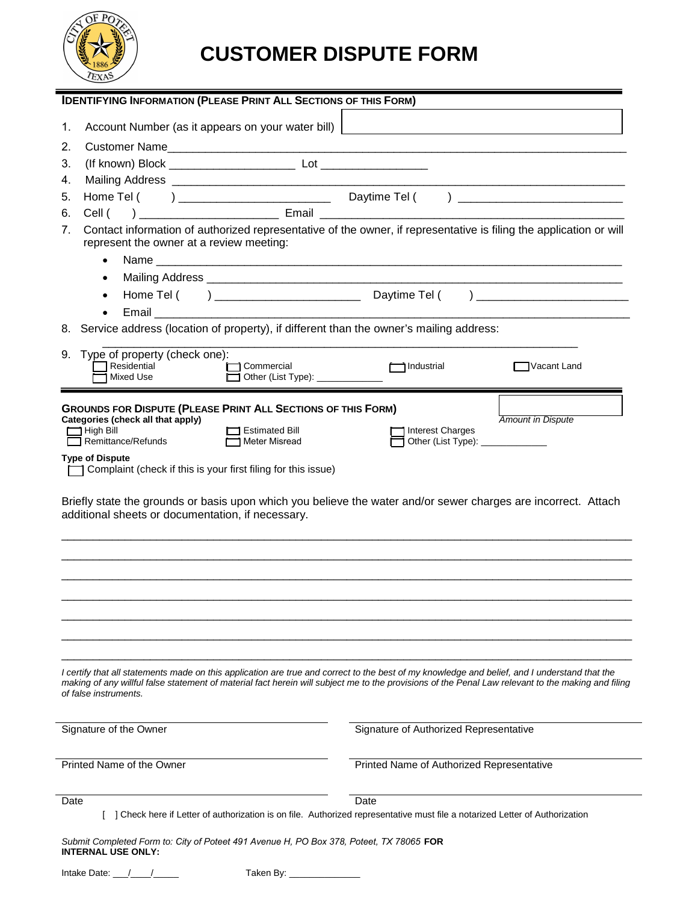

# **CUSTOMER DISPUTE FORM**

| <b>IDENTIFYING INFORMATION (PLEASE PRINT ALL SECTIONS OF THIS FORM)</b>                                                                                                                                                                                                                                                      |                                                                                                                               |
|------------------------------------------------------------------------------------------------------------------------------------------------------------------------------------------------------------------------------------------------------------------------------------------------------------------------------|-------------------------------------------------------------------------------------------------------------------------------|
| Account Number (as it appears on your water bill)  <br>1.                                                                                                                                                                                                                                                                    |                                                                                                                               |
| 2.                                                                                                                                                                                                                                                                                                                           |                                                                                                                               |
| 3.                                                                                                                                                                                                                                                                                                                           |                                                                                                                               |
| 4.                                                                                                                                                                                                                                                                                                                           |                                                                                                                               |
| 5.                                                                                                                                                                                                                                                                                                                           |                                                                                                                               |
| 6.                                                                                                                                                                                                                                                                                                                           |                                                                                                                               |
| Contact information of authorized representative of the owner, if representative is filing the application or will<br>7.<br>represent the owner at a review meeting:                                                                                                                                                         |                                                                                                                               |
| $\bullet$                                                                                                                                                                                                                                                                                                                    |                                                                                                                               |
| $\bullet$                                                                                                                                                                                                                                                                                                                    |                                                                                                                               |
| $\bullet$                                                                                                                                                                                                                                                                                                                    |                                                                                                                               |
| <b>Email</b>                                                                                                                                                                                                                                                                                                                 |                                                                                                                               |
| Service address (location of property), if different than the owner's mailing address:<br>8.                                                                                                                                                                                                                                 |                                                                                                                               |
| Type of property (check one):<br>9.<br>Residential<br>Commercial<br><b>Mixed Use</b><br>Other (List Type): ______________                                                                                                                                                                                                    | Industrial<br>Vacant Land                                                                                                     |
|                                                                                                                                                                                                                                                                                                                              |                                                                                                                               |
| <b>GROUNDS FOR DISPUTE (PLEASE PRINT ALL SECTIONS OF THIS FORM)</b><br>Categories (check all that apply)                                                                                                                                                                                                                     | <b>Amount in Dispute</b>                                                                                                      |
| $\Box$ High Bill<br><b>Estimated Bill</b><br>Remittance/Refunds<br>Meter Misread                                                                                                                                                                                                                                             | <b>Interest Charges</b>                                                                                                       |
| <b>Type of Dispute</b>                                                                                                                                                                                                                                                                                                       | Other (List Type): ______________                                                                                             |
| Complaint (check if this is your first filing for this issue)                                                                                                                                                                                                                                                                |                                                                                                                               |
| Briefly state the grounds or basis upon which you believe the water and/or sewer charges are incorrect. Attach<br>additional sheets or documentation, if necessary.                                                                                                                                                          |                                                                                                                               |
|                                                                                                                                                                                                                                                                                                                              |                                                                                                                               |
|                                                                                                                                                                                                                                                                                                                              |                                                                                                                               |
|                                                                                                                                                                                                                                                                                                                              |                                                                                                                               |
|                                                                                                                                                                                                                                                                                                                              |                                                                                                                               |
|                                                                                                                                                                                                                                                                                                                              |                                                                                                                               |
|                                                                                                                                                                                                                                                                                                                              |                                                                                                                               |
| I certify that all statements made on this application are true and correct to the best of my knowledge and belief, and I understand that the<br>making of any willful false statement of material fact herein will subject me to the provisions of the Penal Law relevant to the making and filing<br>of false instruments. |                                                                                                                               |
| Signature of the Owner                                                                                                                                                                                                                                                                                                       | Signature of Authorized Representative                                                                                        |
|                                                                                                                                                                                                                                                                                                                              |                                                                                                                               |
| Printed Name of the Owner                                                                                                                                                                                                                                                                                                    | Printed Name of Authorized Representative                                                                                     |
| Date                                                                                                                                                                                                                                                                                                                         | Date                                                                                                                          |
|                                                                                                                                                                                                                                                                                                                              | [ ] Check here if Letter of authorization is on file. Authorized representative must file a notarized Letter of Authorization |
| Submit Completed Form to: City of Poteet 491 Avenue H, PO Box 378, Poteet, TX 78065 FOR<br><b>INTERNAL USE ONLY:</b>                                                                                                                                                                                                         |                                                                                                                               |
| Intake Date: $\frac{1}{\sqrt{2}}$<br>Taken By: ________________                                                                                                                                                                                                                                                              |                                                                                                                               |